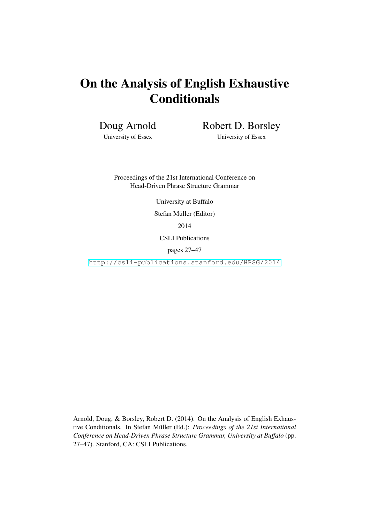# On the Analysis of English Exhaustive **Conditionals**

Doug Arnold

Robert D. Borsley

University of Essex

University of Essex

Proceedings of the 21st International Conference on Head-Driven Phrase Structure Grammar

University at Buffalo

Stefan Müller (Editor)

2014

CSLI Publications

pages 27–47

<http://csli-publications.stanford.edu/HPSG/2014>

Arnold, Doug, & Borsley, Robert D. (2014). On the Analysis of English Exhaustive Conditionals. In Stefan Müller (Ed.): Proceedings of the 21st International *Conference on Head-Driven Phrase Structure Grammar, University at Buffalo* (pp. 27–47). Stanford, CA: CSLI Publications.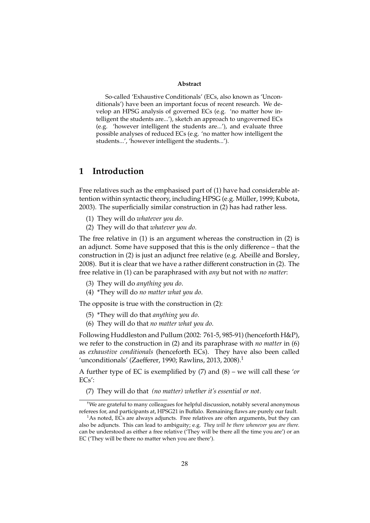#### **Abstract**

So-called 'Exhaustive Conditionals' (ECs, also known as 'Unconditionals') have been an important focus of recent research. We develop an HPSG analysis of governed ECs (e.g. 'no matter how intelligent the students are...'), sketch an approach to ungoverned ECs (e.g. 'however intelligent the students are...'), and evaluate three possible analyses of reduced ECs (e.g. 'no matter how intelligent the students...', 'however intelligent the students...').

## **1 Introduction**

Free relatives such as the emphasised part of (1) have had considerable attention within syntactic theory, including HPSG (e.g. Müller, 1999; Kubota, 2003). The superficially similar construction in (2) has had rather less.

- (1) They will do *whatever you do*.
- (2) They will do that *whatever you do*.

The free relative in (1) is an argument whereas the construction in (2) is an adjunct. Some have supposed that this is the only difference – that the construction in (2) is just an adjunct free relative (e.g. Abeillé and Borsley, 2008). But it is clear that we have a rather different construction in (2). The free relative in (1) can be paraphrased with *any* but not with *no matter*:

- (3) They will do *anything you do*.
- (4) \*They will do *no matter what you do*.

The opposite is true with the construction in (2):

- (5) \*They will do that *anything you do*.
- (6) They will do that *no matter what you do*.

Following Huddleston and Pullum (2002: 761-5, 985-91) (henceforth H&P), we refer to the construction in (2) and its paraphrase with *no matter* in (6) as *exhaustive conditionals* (henceforth ECs). They have also been called 'unconditionals' (Zaefferer, 1990; Rawlins, 2013, 2008).<sup>1</sup>

A further type of EC is exemplified by (7) and (8) – we will call these '*or* ECs':

(7) They will do that *(no matter) whether it's essential or not*.

<sup>†</sup>We are grateful to many colleagues for helpful discussion, notably several anonymous referees for, and participants at, HPSG21 in Buffalo. Remaining flaws are purely our fault.

<sup>&</sup>lt;sup>1</sup>As noted, ECs are always adjuncts. Free relatives are often arguments, but they can also be adjuncts. This can lead to ambiguity; e.g. *They will be there whenever you are there.* can be understood as either a free relative ('They will be there all the time you are') or an EC ('They will be there no matter when you are there').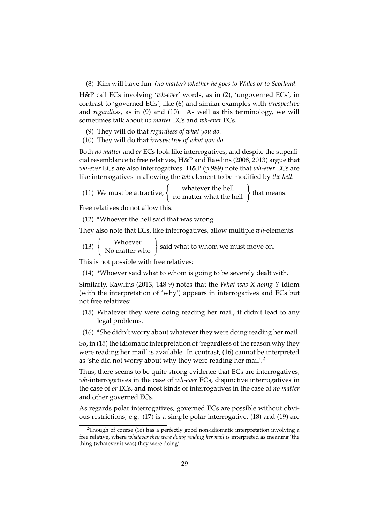#### (8) Kim will have fun *(no matter) whether he goes to Wales or to Scotland*.

H&P call ECs involving '*wh-ever*' words, as in (2), 'ungoverned ECs', in contrast to 'governed ECs', like (6) and similar examples with *irrespective* and *regardless*, as in (9) and (10). As well as this terminology, we will sometimes talk about *no matter* ECs and *wh-ever* ECs.

- (9) They will do that *regardless of what you do*.
- (10) They will do that *irrespective of what you do*.

Both *no matter* and *or* ECs look like interrogatives, and despite the superficial resemblance to free relatives, H&P and Rawlins (2008, 2013) argue that *wh-ever* ECs are also interrogatives. H&P (p.989) note that *wh-ever* ECs are like interrogatives in allowing the *wh*-element to be modified by *the hell*:

|                                  | whatever the hell       | that means. |
|----------------------------------|-------------------------|-------------|
| (11) We must be attractive, $\{$ | no matter what the hell |             |

Free relatives do not allow this:

(12) \*Whoever the hell said that was wrong.

They also note that ECs, like interrogatives, allow multiple *wh*-elements:

(13)  $\left\{\begin{array}{c}$  Whoever  $\left\{\begin{array}{c} \text{No matter who} \end{array}\right\}$  said what to whom we must move on.

This is not possible with free relatives:

(14) \*Whoever said what to whom is going to be severely dealt with.

Similarly, Rawlins (2013, 148-9) notes that the *What was X doing Y* idiom (with the interpretation of 'why') appears in interrogatives and ECs but not free relatives:

- (15) Whatever they were doing reading her mail, it didn't lead to any legal problems.
- (16) \*She didn't worry about whatever they were doing reading her mail.

So, in (15) the idiomatic interpretation of 'regardless of the reason why they were reading her mail' is available. In contrast, (16) cannot be interpreted as 'she did not worry about why they were reading her mail'.<sup>2</sup>

Thus, there seems to be quite strong evidence that ECs are interrogatives, *wh*-interrogatives in the case of *wh-ever* ECs, disjunctive interrogatives in the case of *or* ECs, and most kinds of interrogatives in the case of *no matter* and other governed ECs.

As regards polar interrogatives, governed ECs are possible without obvious restrictions, e.g. (17) is a simple polar interrogative, (18) and (19) are

<sup>&</sup>lt;sup>2</sup>Though of course (16) has a perfectly good non-idiomatic interpretation involving a free relative, where *whatever they were doing reading her mail* is interpreted as meaning 'the thing (whatever it was) they were doing'.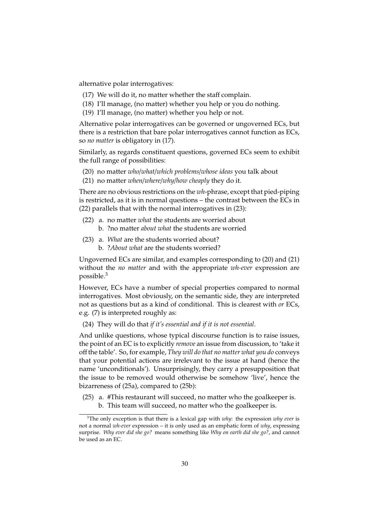alternative polar interrogatives:

- (17) We will do it, no matter whether the staff complain.
- (18) I'll manage, (no matter) whether you help or you do nothing.
- (19) I'll manage, (no matter) whether you help or not.

Alternative polar interrogatives can be governed or ungoverned ECs, but there is a restriction that bare polar interrogatives cannot function as ECs, so *no matter* is obligatory in (17).

Similarly, as regards constituent questions, governed ECs seem to exhibit the full range of possibilities:

- (20) no matter *who*/*what*/*which problems*/*whose ideas* you talk about
- (21) no matter *when*/*where*/*why*/*how cheaply* they do it.

There are no obvious restrictions on the *wh*-phrase, except that pied-piping is restricted, as it is in normal questions – the contrast between the ECs in (22) parallels that with the normal interrogatives in (23):

- (22) a. no matter *what* the students are worried about b. ?no matter *about what* the students are worried
- (23) a. *What* are the students worried about? b. ?*About what* are the students worried?

Ungoverned ECs are similar, and examples corresponding to (20) and (21) without the *no matter* and with the appropriate *wh-ever* expression are possible.<sup>3</sup>

However, ECs have a number of special properties compared to normal interrogatives. Most obviously, on the semantic side, they are interpreted not as questions but as a kind of conditional. This is clearest with *or* ECs, e.g. (7) is interpreted roughly as:

(24) They will do that *if it's essential and if it is not essential*.

And unlike questions, whose typical discourse function is to raise issues, the point of an EC is to explicitly *remove* an issue from discussion, to 'take it off the table'. So, for example, *They will do that no matter what you do* conveys that your potential actions are irrelevant to the issue at hand (hence the name 'unconditionals'). Unsurprisingly, they carry a presupposition that the issue to be removed would otherwise be somehow 'live', hence the bizarreness of (25a), compared to (25b):

(25) a. #This restaurant will succeed, no matter who the goalkeeper is. b. This team will succeed, no matter who the goalkeeper is.

<sup>3</sup>The only exception is that there is a lexical gap with *why*: the expression *why ever* is not a normal *wh-ever* expression – it is only used as an emphatic form of *why*, expressing surprise. *Why ever did she go?* means something like *Why on earth did she go?*, and cannot be used as an EC.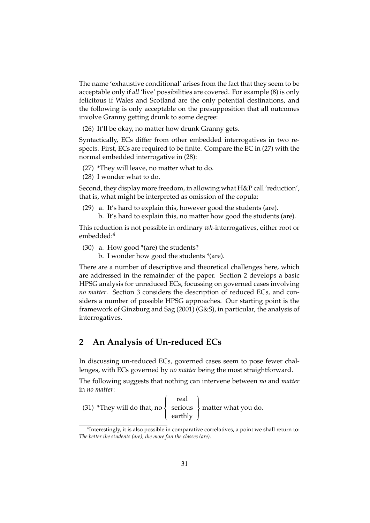The name 'exhaustive conditional' arises from the fact that they seem to be acceptable only if *all* 'live' possibilities are covered. For example (8) is only felicitous if Wales and Scotland are the only potential destinations, and the following is only acceptable on the presupposition that all outcomes involve Granny getting drunk to some degree:

(26) It'll be okay, no matter how drunk Granny gets.

Syntactically, ECs differ from other embedded interrogatives in two respects. First, ECs are required to be finite. Compare the EC in (27) with the normal embedded interrogative in (28):

- (27) \*They will leave, no matter what to do.
- (28) I wonder what to do.

Second, they display more freedom, in allowing what H&P call 'reduction', that is, what might be interpreted as omission of the copula:

(29) a. It's hard to explain this, however good the students (are). b. It's hard to explain this, no matter how good the students (are).

This reduction is not possible in ordinary *wh*-interrogatives, either root or embedded:<sup>4</sup>

- (30) a. How good \*(are) the students?
	- b. I wonder how good the students \*(are).

There are a number of descriptive and theoretical challenges here, which are addressed in the remainder of the paper. Section 2 develops a basic HPSG analysis for unreduced ECs, focussing on governed cases involving *no matter*. Section 3 considers the description of reduced ECs, and considers a number of possible HPSG approaches. Our starting point is the framework of Ginzburg and Sag (2001) (G&S), in particular, the analysis of interrogatives.

## **2 An Analysis of Un-reduced ECs**

In discussing un-reduced ECs, governed cases seem to pose fewer challenges, with ECs governed by *no matter* being the most straightforward.

The following suggests that nothing can intervene between *no* and *matter* in *no matter*:

|                                                                   | real             |  |
|-------------------------------------------------------------------|------------------|--|
| (31) *They will do that, no $\{$ serious $\}$ matter what you do. |                  |  |
|                                                                   | $\left $ earthly |  |

<sup>4</sup> Interestingly, it is also possible in comparative correlatives, a point we shall return to: *The better the students (are), the more fun the classes (are)*.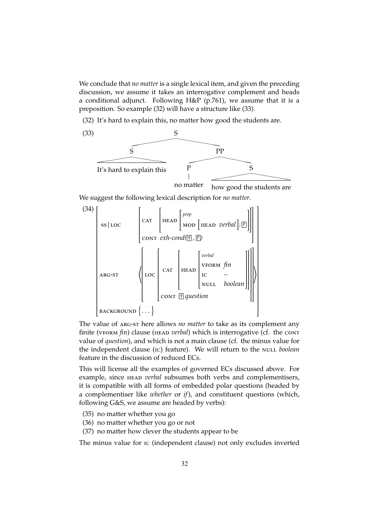We conclude that *no matter* is a single lexical item, and given the preceding discussion, we assume it takes an interrogative complement and heads a conditional adjunct. Following H&P (p.761), we assume that it is a preposition. So example (32) will have a structure like (33).

(32) It's hard to explain this, no matter how good the students are.



We suggest the following lexical description for *no matter*.



The value of arg-st here allows *no matter* to take as its complement any finite (VFORM *fin*) clause (HEAD *verbal*) which is interrogative (cf. the CONT value of *question*), and which is not a main clause (cf. the minus value for the independent clause (IC) feature). We will return to the NULL boolean feature in the discussion of reduced ECs.

This will license all the examples of governed ECs discussed above. For example, since head *verbal* subsumes both verbs and complementisers, it is compatible with all forms of embedded polar questions (headed by a complementiser like *whether* or *if*), and constituent questions (which, following G&S, we assume are headed by verbs):

- (35) no matter whether you go
- (36) no matter whether you go or not
- (37) no matter how clever the students appear to be

The minus value for ic (independent clause) not only excludes inverted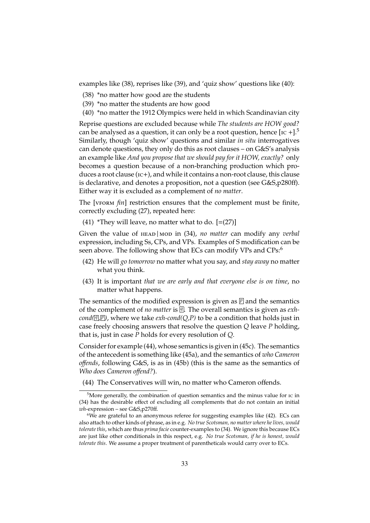examples like (38), reprises like (39), and 'quiz show' questions like (40):

- (38) \*no matter how good are the students
- (39) \*no matter the students are how good
- (40) \*no matter the 1912 Olympics were held in which Scandinavian city

Reprise questions are excluded because while *The students are HOW good?* can be analysed as a question, it can only be a root question, hence  $[{\rm Ic} +]$ <sup>5</sup> Similarly, though 'quiz show' questions and similar *in situ* interrogatives can denote questions, they only do this as root clauses – on G&S's analysis an example like *And you propose that we should pay for it HOW, exactly?* only becomes a question because of a non-branching production which produces a root clause (ic+), and while it contains a non-root clause, this clause is declarative, and denotes a proposition, not a question (see G&S,p280ff). Either way it is excluded as a complement of *no matter*.

The [VFORM  $fin$ ] restriction ensures that the complement must be finite, correctly excluding (27), repeated here:

(41) \*They will leave, no matter what to do.  $[=(27)]$ 

Given the value of HEAD | MOD in (34), *no matter* can modify any *verbal* expression, including Ss, CPs, and VPs. Examples of S modification can be seen above. The following show that ECs can modify VPs and CPs:<sup>6</sup>

- (42) He will *go tomorrow* no matter what you say, and *stay away* no matter what you think.
- (43) It is important *that we are early and that everyone else is on time*, no matter what happens.

The semantics of the modified expression is given as  $\overline{p}$  and the semantics of the complement of *no matter* is *<sup>q</sup>* . The overall semantics is given as *exhcond([*][P]), where we take *exh-cond(Q,P)* to be a condition that holds just in case freely choosing answers that resolve the question *Q* leave *P* holding, that is, just in case *P* holds for every resolution of *Q*.

Consider for example (44), whose semantics is given in (45c). The semantics of the antecedent is something like (45a), and the semantics of *who Cameron o*ff*ends*, following G&S, is as in (45b) (this is the same as the semantics of *Who does Cameron o*ff*end?*).

(44) The Conservatives will win, no matter who Cameron offends.

<sup>&</sup>lt;sup>5</sup>More generally, the combination of question semantics and the minus value for ic in (34) has the desirable effect of excluding all complements that do not contain an initial *wh*-expression – see G&S,p270ff.

 $6$ We are grateful to an anonymous referee for suggesting examples like (42). ECs can also attach to other kinds of phrase, as in e.g. *No true Scotsman, no matter where he lives, would tolerate this*, which are thus *prima facie* counter-examples to (34). We ignore this because ECs are just like other conditionals in this respect, e.g. *No true Scotsman, if he is honest, would tolerate this*. We assume a proper treatment of parentheticals would carry over to ECs.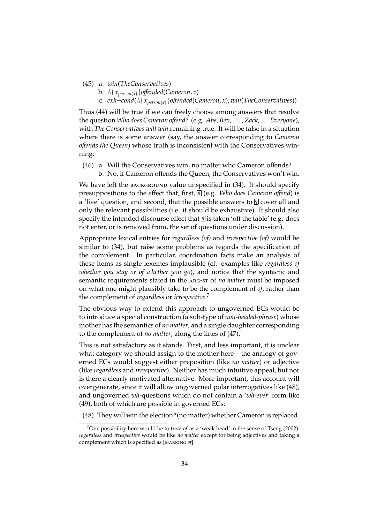- (45) a. *win*(*TheConservatives*)
	- b. λ{ *xperson*(*x*) }*o*ff*ended*(*Cameron*, *x*)
	- c. *exh*−*cond*(λ{ *xperson*(*x*) }*o*ff*ended*(*Cameron*, *x*), *win*(*TheConservatives*))

Thus (44) will be true if we can freely choose among answers that resolve the question *Who does Cameron o*ff*end?* (e.g. *Abe*, *Bev*, . . . , *Zack*, . . . *Everyone*), with *The Conservatives will win* remaining true. It will be false in a situation where there is some answer (say, the answer corresponding to *Cameron o*ff*ends the Queen*) whose truth is inconsistent with the Conservatives winning:

(46) a. Will the Conservatives win, no matter who Cameron offends? b. No, if Cameron offends the Queen, the Conservatives won't win.

We have left the BACKGROUND value unspecified in  $(34)$ . It should specify presuppositions to the effect that, first, *<sup>q</sup>* (e.g. *Who does Cameron o*ff*end*) is a 'live' question, and second, that the possible answers to *<sup>q</sup>* cover all and only the relevant possibilities (i.e. it should be exhaustive). It should also specify the intended discourse effect that *<sup>q</sup>* is taken 'off the table' (e.g. does not enter, or is removed from, the set of questions under discussion).

Appropriate lexical entries for *regardless (of)* and *irrespective (of)* would be similar to (34), but raise some problems as regards the specification of the complement. In particular, coordination facts make an analysis of these items as single lexemes implausible (cf. examples like *regardless of whether you stay or of whether you go*), and notice that the syntactic and semantic requirements stated in the arg-st of *no matter* must be imposed on what one might plausibly take to be the complement of *of*, rather than the complement of *regardless* or *irrespective*. 7

The obvious way to extend this approach to ungoverned ECs would be to introduce a special construction (a sub-type of *non-headed-phrase*) whose mother has the semantics of *no matter*, and a single daughter corresponding to the complement of *no matter*, along the lines of (47).

This is not satisfactory as it stands. First, and less important, it is unclear what category we should assign to the mother here – the analogy of governed ECs would suggest either preposition (like *no matter*) or adjective (like *regardless* and *irrespective*). Neither has much intuitive appeal, but nor is there a clearly motivated alternative. More important, this account will overgenerate, since it will allow ungoverned polar interrogatives like (48), and ungoverned *wh*-questions which do not contain a '*wh-ever*' form like (49), both of which are possible in governed ECs:

(48) They will win the election \*(no matter) whether Cameron is replaced.

<sup>7</sup>One possibility here would be to treat *of* as a 'weak head' in the sense of Tseng (2002): *regardless* and *irrespective* would be like *no matter* except for being adjectives and taking a complement which is specified as [marking *of*].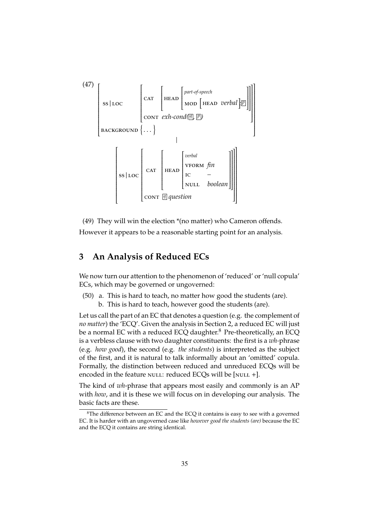

(49) They will win the election \*(no matter) who Cameron offends.

However it appears to be a reasonable starting point for an analysis.

## **3 An Analysis of Reduced ECs**

We now turn our attention to the phenomenon of 'reduced' or 'null copula' ECs, which may be governed or ungoverned:

(50) a. This is hard to teach, no matter how good the students (are). b. This is hard to teach, however good the students (are).

Let us call the part of an EC that denotes a question (e.g. the complement of *no matter*) the 'ECQ'. Given the analysis in Section 2, a reduced EC will just be a normal EC with a reduced ECQ daughter.<sup>8</sup> Pre-theoretically, an ECQ is a verbless clause with two daughter constituents: the first is a *wh-*phrase (e.g. *how good*), the second (e.g. *the students*) is interpreted as the subject of the first, and it is natural to talk informally about an 'omitted' copula. Formally, the distinction between reduced and unreduced ECQs will be encoded in the feature NULL: reduced ECQs will be [NULL  $+$ ].

The kind of *wh*-phrase that appears most easily and commonly is an AP with *how*, and it is these we will focus on in developing our analysis. The basic facts are these.

 ${}^{8}$ The difference between an EC and the ECQ it contains is easy to see with a governed EC. It is harder with an ungoverned case like *however good the students (are)* because the EC and the ECQ it contains are string identical.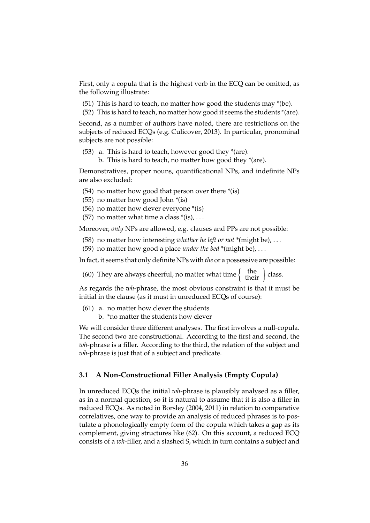First, only a copula that is the highest verb in the ECQ can be omitted, as the following illustrate:

- (51) This is hard to teach, no matter how good the students may \*(be).
- (52) This is hard to teach, no matter how good it seems the students \*(are).

Second, as a number of authors have noted, there are restrictions on the subjects of reduced ECQs (e.g. Culicover, 2013). In particular, pronominal subjects are not possible:

(53) a. This is hard to teach, however good they \*(are). b. This is hard to teach, no matter how good they \*(are).

Demonstratives, proper nouns, quantificational NPs, and indefinite NPs are also excluded:

- (54) no matter how good that person over there \*(is)
- (55) no matter how good John \*(is)
- (56) no matter how clever everyone \*(is)
- (57) no matter what time a class  $*(is)$ , ...

Moreover, *only* NPs are allowed, e.g. clauses and PPs are not possible:

- (58) no matter how interesting *whether he left or not* \*(might be), . . .
- (59) no matter how good a place *under the bed* \*(might be), . . .

In fact, it seems that only definite NPs with *the* or a possessive are possible:

(60) They are always cheerful, no matter what time  $\begin{Bmatrix}$  the  $\rbrace$  class.

As regards the *wh*-phrase, the most obvious constraint is that it must be initial in the clause (as it must in unreduced ECQs of course):

- (61) a. no matter how clever the students
	- b. \*no matter the students how clever

We will consider three different analyses. The first involves a null-copula. The second two are constructional. According to the first and second, the *wh*-phrase is a filler. According to the third, the relation of the subject and *wh*-phrase is just that of a subject and predicate.

### **3.1 A Non-Constructional Filler Analysis (Empty Copula)**

In unreduced ECQs the initial *wh*-phrase is plausibly analysed as a filler, as in a normal question, so it is natural to assume that it is also a filler in reduced ECQs. As noted in Borsley (2004, 2011) in relation to comparative correlatives, one way to provide an analysis of reduced phrases is to postulate a phonologically empty form of the copula which takes a gap as its complement, giving structures like (62). On this account, a reduced ECQ consists of a *wh-*filler, and a slashed S, which in turn contains a subject and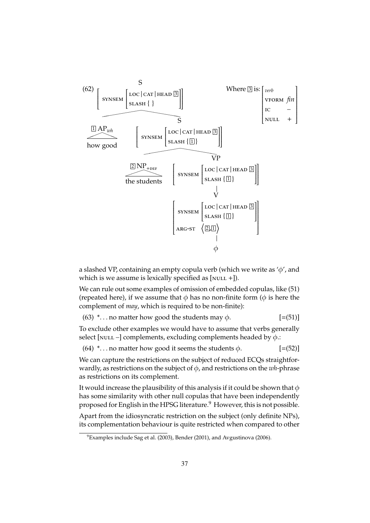

a slashed VP, containing an empty copula verb (which we write as 'φ', and which is we assume is lexically specified as  $[$ NULL + $]$ ).

We can rule out some examples of omission of embedded copulas, like (51) (repeated here), if we assume that  $\phi$  has no non-finite form ( $\phi$  is here the complement of *may*, which is required to be non-finite):

(63)  $*...$  no matter how good the students may  $\phi$ . [=(51)]

To exclude other examples we would have to assume that verbs generally select [NULL  $-$ ] complements, excluding complements headed by  $\phi$ .:

(64)  $*...$  no matter how good it seems the students  $\phi$ .  $[=(52)]$ 

We can capture the restrictions on the subject of reduced ECQs straightforwardly, as restrictions on the subject of φ, and restrictions on the *wh*-phrase as restrictions on its complement.

It would increase the plausibility of this analysis if it could be shown that  $\phi$ has some similarity with other null copulas that have been independently proposed for English in the HPSG literature.<sup>9</sup> However, this is not possible.

Apart from the idiosyncratic restriction on the subject (only definite NPs), its complementation behaviour is quite restricted when compared to other

<sup>&</sup>lt;sup>9</sup>Examples include Sag et al. (2003), Bender (2001), and Avgustinova (2006).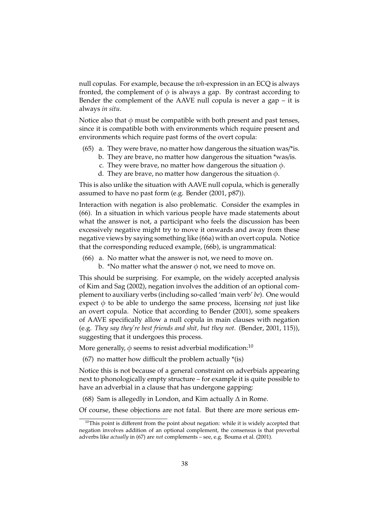null copulas. For example, because the *wh*-expression in an ECQ is always fronted, the complement of  $\phi$  is always a gap. By contrast according to Bender the complement of the AAVE null copula is never a gap  $-$  it is always *in situ*.

Notice also that  $\phi$  must be compatible with both present and past tenses, since it is compatible both with environments which require present and environments which require past forms of the overt copula:

- $(65)$  a. They were brave, no matter how dangerous the situation was/\*is.
	- b. They are brave, no matter how dangerous the situation \*was/is.
	- c. They were brave, no matter how dangerous the situation  $\phi$ .
	- d. They are brave, no matter how dangerous the situation  $\phi$ .

This is also unlike the situation with AAVE null copula, which is generally assumed to have no past form (e.g. Bender (2001, p87)).

Interaction with negation is also problematic. Consider the examples in (66). In a situation in which various people have made statements about what the answer is not, a participant who feels the discussion has been excessively negative might try to move it onwards and away from these negative views by saying something like (66a) with an overt copula. Notice that the corresponding reduced example, (66b), is ungrammatical:

- (66) a. No matter what the answer is not, we need to move on.
	- b. \*No matter what the answer  $\phi$  not, we need to move on.

This should be surprising. For example, on the widely accepted analysis of Kim and Sag (2002), negation involves the addition of an optional complement to auxiliary verbs (including so-called 'main verb' *be*). One would expect  $\phi$  to be able to undergo the same process, licensing *not* just like an overt copula. Notice that according to Bender (2001), some speakers of AAVE specifically allow a null copula in main clauses with negation (e.g. *They say they're best friends and shit, but they not.* (Bender, 2001, 115)), suggesting that it undergoes this process.

More generally,  $\phi$  seems to resist adverbial modification:<sup>10</sup>

(67) no matter how difficult the problem actually  $*(is)$ 

Notice this is not because of a general constraint on adverbials appearing next to phonologically empty structure – for example it is quite possible to have an adverbial in a clause that has undergone gapping:

(68) Sam is allegedly in London, and Kim actually  $\Delta$  in Rome.

Of course, these objections are not fatal. But there are more serious em-

 $10$ This point is different from the point about negation: while it is widely accepted that negation involves addition of an optional complement, the consensus is that preverbal adverbs like *actually* in (67) are *not* complements – see, e.g. Bouma et al. (2001).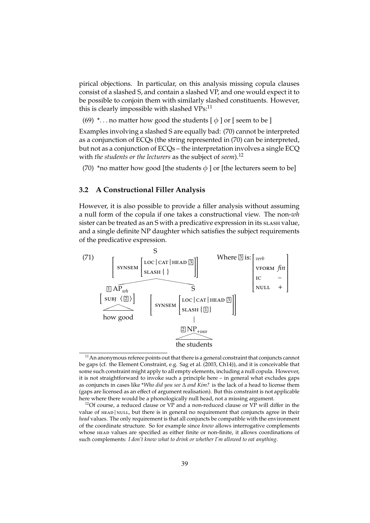pirical objections. In particular, on this analysis missing copula clauses consist of a slashed S, and contain a slashed VP, and one would expect it to be possible to conjoin them with similarly slashed constituents. However, this is clearly impossible with slashed VPs:<sup>11</sup>

(69)  $*...$  no matter how good the students  $\lceil \phi \rceil$  or  $\lceil \phi \rceil$  seem to be  $\lceil \phi \rceil$ 

Examples involving a slashed S are equally bad: (70) cannot be interpreted as a conjunction of ECQs (the string represented in (70) can be interpreted, but not as a conjunction of ECQs – the interpretation involves a single ECQ with *the students or the lecturers* as the subject of *seem*).<sup>12</sup>

(70) \*no matter how good [the students  $\phi$  ] or [the lecturers seem to be]

## **3.2 A Constructional Filler Analysis**

However, it is also possible to provide a filler analysis without assuming a null form of the copula if one takes a constructional view. The non-*wh* sister can be treated as an S with a predicative expression in its slash value, and a single definite NP daughter which satisfies the subject requirements of the predicative expression.



 $11$ An anonymous referee points out that there is a general constraint that conjuncts cannot be gaps (cf. the Element Constraint, e.g. Sag et al. (2003, Ch14)), and it is conceivable that some such constraint might apply to all empty elements, including a null copula. However, it is not straightforward to invoke such a principle here – in general what excludes gaps as conjuncts in cases like \**Who did you see* ∆ *and Kim?* is the lack of a head to license them (gaps are licensed as an effect of argument realisation). But this constraint is not applicable here where there would be a phonologically null head, not a missing argument.

<sup>&</sup>lt;sup>12</sup>Of course, a reduced clause or VP and a non-reduced clause or VP will differ in the value of HEAD | NULL, but there is in general no requirement that conjuncts agree in their *head* values. The only requirement is that all conjuncts be compatible with the environment of the coordinate structure. So for example since *know* allows interrogative complements whose head values are specified as either finite or non-finite, it allows coordinations of such complements: *I don't know what to drink or whether I'm allowed to eat anything*.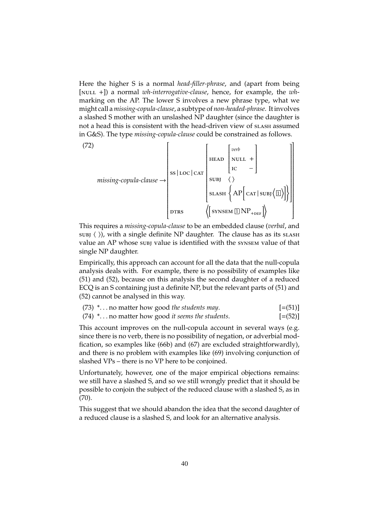Here the higher S is a normal *head-filler-phrase*, and (apart from being [NULL +]) a normal *wh-interrogative-clause*, hence, for example, the *wh*marking on the AP. The lower S involves a new phrase type, what we might call a*missing-copula-clause*, a subtype of *non-headed-phrase*. It involves a slashed S mother with an unslashed NP daughter (since the daughter is not a head this is consistent with the head-driven view of slash assumed in G&S). The type *missing-copula-clause* could be constrained as follows.

(72)  
\n
$$
missing-copula-clause \rightarrow \begin{bmatrix} \begin{bmatrix} \begin{bmatrix} \begin{bmatrix} \begin{bmatrix} \begin{bmatrix} \text{C}} \end{bmatrix} & \begin{bmatrix} \begin{bmatrix} \text{C}} \end{bmatrix} \\ \begin{bmatrix} \text{C}} \end{bmatrix} \\ \begin{bmatrix} \text{C}} \end{bmatrix} \\ \begin{bmatrix} \text{C}} \end{bmatrix} \\ \begin{bmatrix} \text{S}} \end{bmatrix} \end{bmatrix} \end{bmatrix} \end{bmatrix} \end{bmatrix}
$$
\n
$$
\begin{bmatrix} \begin{bmatrix} \text{S}} \end{bmatrix} \\ \begin{bmatrix} \text{S}} \end{bmatrix} \end{bmatrix} \end{bmatrix}
$$
\n
$$
\begin{bmatrix} \begin{bmatrix} \text{S}} \end{bmatrix} \\ \begin{bmatrix} \text{S}} \end{bmatrix} \end{bmatrix} \end{bmatrix}
$$
\n
$$
\begin{bmatrix} \begin{bmatrix} \text{S}} \end{bmatrix} \end{bmatrix} \end{bmatrix}
$$
\n
$$
\begin{bmatrix} \begin{bmatrix} \text{S}} \end{bmatrix} \end{bmatrix} \end{bmatrix}
$$
\n
$$
\begin{bmatrix} \begin{bmatrix} \text{S}} \end{bmatrix} \end{bmatrix} \end{bmatrix}
$$
\n
$$
\begin{bmatrix} \begin{bmatrix} \text{S}} \end{bmatrix} \end{bmatrix} \end{bmatrix}
$$

This requires a *missing-copula-clause* to be an embedded clause (*verbal*, and  $sUBJ$  ()), with a single definite NP daughter. The clause has as its slash value an AP whose subj value is identified with the synsem value of that single NP daughter.

Empirically, this approach can account for all the data that the null-copula analysis deals with. For example, there is no possibility of examples like (51) and (52), because on this analysis the second daughter of a reduced ECQ is an S containing just a definite NP, but the relevant parts of (51) and (52) cannot be analysed in this way.

|  | (73) * no matter how good the students may. | $[=(51)]$ |
|--|---------------------------------------------|-----------|
|--|---------------------------------------------|-----------|

(74) \*. . . no matter how good *it seems the students*. [=(52)]

This account improves on the null-copula account in several ways (e.g. since there is no verb, there is no possibility of negation, or adverbial modfication, so examples like (66b) and (67) are excluded straightforwardly), and there is no problem with examples like (69) involving conjunction of slashed VPs – there is no VP here to be conjoined.

Unfortunately, however, one of the major empirical objections remains: we still have a slashed S, and so we still wrongly predict that it should be possible to conjoin the subject of the reduced clause with a slashed S, as in (70).

This suggest that we should abandon the idea that the second daughter of a reduced clause is a slashed S, and look for an alternative analysis.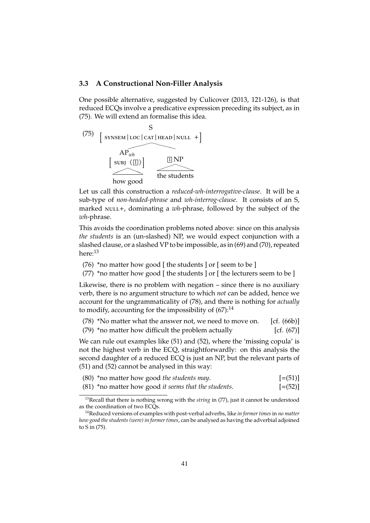#### **3.3 A Constructional Non-Filler Analysis**

One possible alternative, suggested by Culicover (2013, 121-126), is that reduced ECQs involve a predicative expression preceding its subject, as in (75). We will extend an formalise this idea.



Let us call this construction a *reduced-wh-interrogative-clause*. It will be a sub-type of *non-headed-phrase* and *wh-interrog-clause*. It consists of an S, marked NULL+, dominating a *wh*-phrase, followed by the subject of the *wh*-phrase.

This avoids the coordination problems noted above: since on this analysis *the students* is an (un-slashed) NP, we would expect conjunction with a slashed clause, or a slashed VP to be impossible, as in (69) and (70), repeated here:<sup>13</sup>

- (76) \*no matter how good  $\lceil$  the students  $\lceil$  or  $\lceil$  seem to be  $\rceil$
- (77) \*no matter how good  $\lceil$  the students  $\lceil$  or  $\lceil$  the lecturers seem to be  $\lceil$

Likewise, there is no problem with negation – since there is no auxiliary verb, there is no argument structure to which *not* can be added, hence we account for the ungrammaticality of (78), and there is nothing for *actually* to modify, accounting for the impossibility of  $(67)$ :<sup>14</sup>

| (78) *No matter what the answer not, we need to move on. | [cf. $(66b)$ ] |               |
|----------------------------------------------------------|----------------|---------------|
| (79) *no matter how difficult the problem actually       |                | [cf. $(67)$ ] |

We can rule out examples like (51) and (52), where the 'missing copula' is not the highest verb in the ECQ, straightforwardly: on this analysis the second daughter of a reduced ECQ is just an NP, but the relevant parts of (51) and (52) cannot be analysed in this way:

|  | (80) *no matter how good the students may. | $[=(51)]$ |
|--|--------------------------------------------|-----------|
|--|--------------------------------------------|-----------|

(81) \*no matter how good *it seems that the students*. [=(52)]

<sup>&</sup>lt;sup>13</sup>Recall that there is nothing wrong with the *string* in (77), just it cannot be understood as the coordination of two ECQs.

<sup>14</sup>Reduced versions of examples with post-verbal adverbs, like *in former times*in *no matter how good the students (were) in former times*, can be analysed as having the adverbial adjoined to S in (75).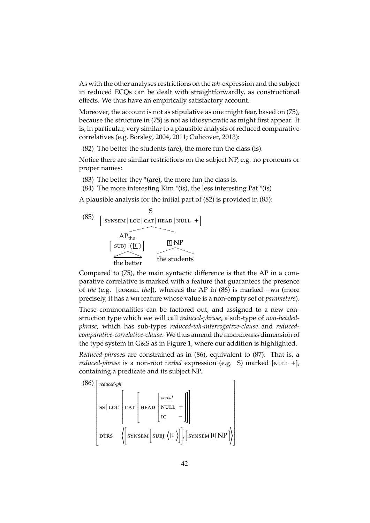As with the other analyses restrictions on the *wh-*expression and the subject in reduced ECQs can be dealt with straightforwardly, as constructional effects. We thus have an empirically satisfactory account.

Moreover, the account is not as stipulative as one might fear, based on (75), because the structure in (75) is not as idiosyncratic as might first appear. It is, in particular, very similar to a plausible analysis of reduced comparative correlatives (e.g. Borsley, 2004, 2011; Culicover, 2013):

(82) The better the students (are), the more fun the class (is).

Notice there are similar restrictions on the subject NP, e.g. no pronouns or proper names:

- (83) The better they  $*(are)$ , the more fun the class is.
- (84) The more interesting Kim  $*(is)$ , the less interesting Pat  $*(is)$

A plausible analysis for the initial part of (82) is provided in (85):



Compared to (75), the main syntactic difference is that the AP in a comparative correlative is marked with a feature that guarantees the presence of *the* (e.g. [correl *the*]), whereas the AP in (86) is marked +wh (more precisely, it has a wh feature whose value is a non-empty set of *parameters*).

These commonalities can be factored out, and assigned to a new construction type which we will call *reduced-phrase*, a sub-type of *non-headedphrase*, which has sub-types *reduced-wh-interrogative-clause* and *reducedcomparative-correlative-clause*. We thus amend the headedness dimension of the type system in G&S as in Figure 1, where our addition is highlighted.

*Reduced-phrase*s are constrained as in (86), equivalent to (87). That is, a *reduced-phrase* is a non-root *verbal* expression (e.g. S) marked [NULL +], containing a predicate and its subject NP.

(86) 
$$
\begin{bmatrix} \text{reduced-ph} \\ \text{ss} | \text{LOC} \\ \text{CAT} \\ \text{DTRS} \end{bmatrix} \begin{bmatrix} \text{CAT} \\ \text{HEAD} \\ \text{IC} \\ \text{IC} \end{bmatrix} \begin{bmatrix} \text{verbal} \\ \text{NULL} + \\ \text{IC} \\ \end{bmatrix}
$$
DTRS 
$$
\left( \begin{bmatrix} \text{SYNSEM} \\ \text{SYNSEM} \end{bmatrix} \begin{bmatrix} \text{QUBL} \\ \text{VULL} + \\ \text{IC} \end{bmatrix} \right)
$$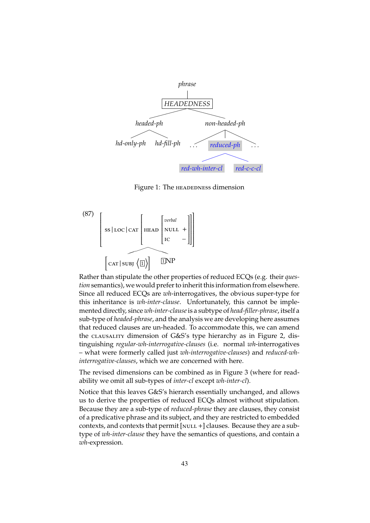

Figure 1: The HEADEDNESS dimension

$$
(87)
$$
\n
$$
\left[\n \begin{array}{c}\n \text{ss} \mid \text{loc} \mid \text{car}\n \end{array}\n \middle[ \n \begin{array}{c}\n \text{neval}\n \end{array}\n \middle[ \n \begin{array}{c}\n \text{neval}\n \end{array}\n \middle[ \n \begin{array}{c}\n \text{noUL} \mid \text{t}\n \end{array}\n \middle] \n \right]\n \left[\n \text{car} \mid \text{suby}\n \middle[ \n \begin{array}{c}\n \text{onPL} \mid \text{t}\n \end{array}\n \middle] \n \right]
$$

Rather than stipulate the other properties of reduced ECQs (e.g. their *question* semantics), we would prefer to inherit this information from elsewhere. Since all reduced ECQs are *wh*-interrogatives, the obvious super-type for this inheritance is *wh-inter-clause*. Unfortunately, this cannot be implemented directly, since *wh-inter-clause*is a subtype of *head-filler-phrase*, itself a sub-type of *headed-phrase*, and the analysis we are developing here assumes that reduced clauses are un-headed. To accommodate this, we can amend the clausality dimension of G&S's type hierarchy as in Figure 2, distinguishing *regular-wh-interrogative-clauses* (i.e. normal *wh*-interrogatives – what were formerly called just *wh-interrogative-clauses*) and *reduced-whinterrogative-clauses*, which we are concerned with here.

The revised dimensions can be combined as in Figure 3 (where for readability we omit all sub-types of *inter-cl* except *wh-inter-cl*).

Notice that this leaves G&S's hierarch essentially unchanged, and allows us to derive the properties of reduced ECQs almost without stipulation. Because they are a sub-type of *reduced-phrase* they are clauses, they consist of a predicative phrase and its subject, and they are restricted to embedded contexts, and contexts that permit  $[NULL +]$  clauses. Because they are a subtype of *wh-inter-clause* they have the semantics of questions, and contain a *wh*-expression.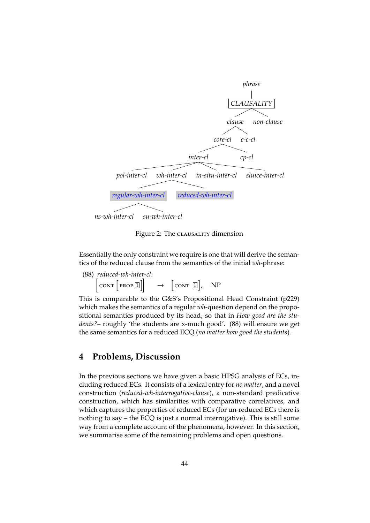

Figure 2: The CLAUSALITY dimension

Essentially the only constraint we require is one that will derive the semantics of the reduced clause from the semantics of the initial *wh*-phrase:

(88) *reduced-wh-inter-cl*:  $\left[\text{conv}\left[\text{prop } \mathbb{I}\right]\right] \rightarrow \left[\text{conv } \mathbb{I}\right], \text{ NP}$ 

This is comparable to the G&S's Propositional Head Constraint (p229) which makes the semantics of a regular *wh*-question depend on the propositional semantics produced by its head, so that in *How good are the students?*– roughly 'the students are x-much good'. (88) will ensure we get the same semantics for a reduced ECQ (*no matter how good the students*).

## **4 Problems, Discussion**

In the previous sections we have given a basic HPSG analysis of ECs, including reduced ECs. It consists of a lexical entry for *no matter*, and a novel construction (*reduced-wh-interrogative-clause*), a non-standard predicative construction, which has similarities with comparative correlatives, and which captures the properties of reduced ECs (for un-reduced ECs there is nothing to say – the ECQ is just a normal interrogative). This is still some way from a complete account of the phenomena, however. In this section, we summarise some of the remaining problems and open questions.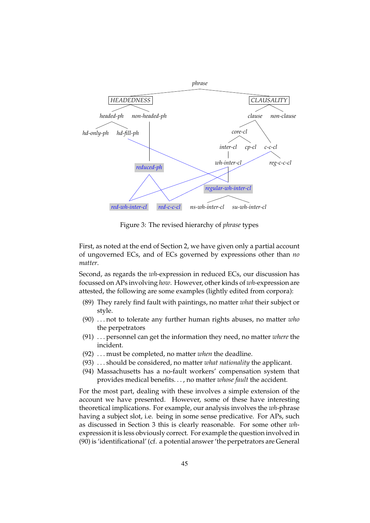![](_page_18_Figure_0.jpeg)

Figure 3: The revised hierarchy of *phrase* types

First, as noted at the end of Section 2, we have given only a partial account of ungoverned ECs, and of ECs governed by expressions other than *no matter*.

Second, as regards the *wh*-expression in reduced ECs, our discussion has focussed on APs involving *how*. However, other kinds of *wh*-expression are attested, the following are some examples (lightly edited from corpora):

- (89) They rarely find fault with paintings, no matter *what* their subject or style.
- (90) . . . not to tolerate any further human rights abuses, no matter *who* the perpetrators
- (91) . . . personnel can get the information they need, no matter *where* the incident.
- (92) . . . must be completed, no matter *when* the deadline.
- (93) . . . should be considered, no matter *what nationality* the applicant.
- (94) Massachusetts has a no-fault workers' compensation system that provides medical benefits. . . , no matter *whose fault* the accident.

For the most part, dealing with these involves a simple extension of the account we have presented. However, some of these have interesting theoretical implications. For example, our analysis involves the *wh*-phrase having a subject slot, i.e. being in some sense predicative. For APs, such as discussed in Section 3 this is clearly reasonable. For some other *wh*expression it is less obviously correct. For example the question involved in (90) is 'identificational' (cf. a potential answer 'the perpetrators are General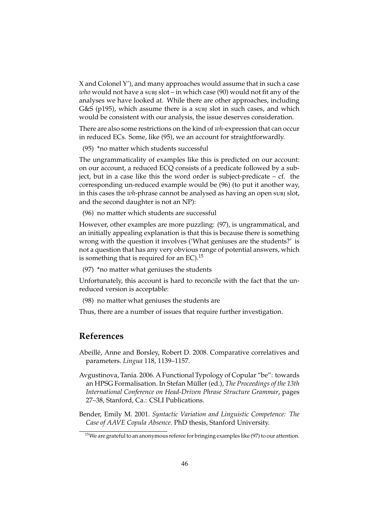X and Colonel Y'), and many approaches would assume that in such a case *who* would not have a subj slot – in which case (90) would not fit any of the analyses we have looked at. While there are other approaches, including G&S (p195), which assume there is a subj slot in such cases, and which would be consistent with our analysis, the issue deserves consideration.

There are also some restrictions on the kind of *wh*-expression that can occur in reduced ECs. Some, like (95), we an account for straightforwardly.

(95) \*no matter which students successful

The ungrammaticality of examples like this is predicted on our account: on our account, a reduced ECQ consists of a predicate followed by a subject, but in a case like this the word order is subject-predicate – cf. the corresponding un-reduced example would be (96) (to put it another way, in this cases the *wh*-phrase cannot be analysed as having an open subj slot, and the second daughter is not an NP):

(96) no matter which students are successful

However, other examples are more puzzling: (97), is ungrammatical, and an initially appealing explanation is that this is because there is something wrong with the question it involves ('What geniuses are the students?' is not a question that has any very obvious range of potential answers, which is something that is required for an EC).<sup>15</sup>

(97) \*no matter what geniuses the students

Unfortunately, this account is hard to reconcile with the fact that the unreduced version is acceptable:

(98) no matter what geniuses the students are

Thus, there are a number of issues that require further investigation.

# **References**

Abeille, Anne and Borsley, Robert D. 2008. Comparative correlatives and ´ parameters. *Lingua* 118, 1139–1157.

Avgustinova, Tania. 2006. A Functional Typology of Copular "be": towards an HPSG Formalisation. In Stefan Müller (ed.), The Proceedings of the 13th *International Conference on Head-Driven Phrase Structure Grammar*, pages 27–38, Stanford, Ca.: CSLI Publications.

Bender, Emily M. 2001. *Syntactic Variation and Linguistic Competence: The Case of AAVE Copula Absence*. PhD thesis, Stanford University.

 $15$ We are grateful to an anonymous referee for bringing examples like (97) to our attention.